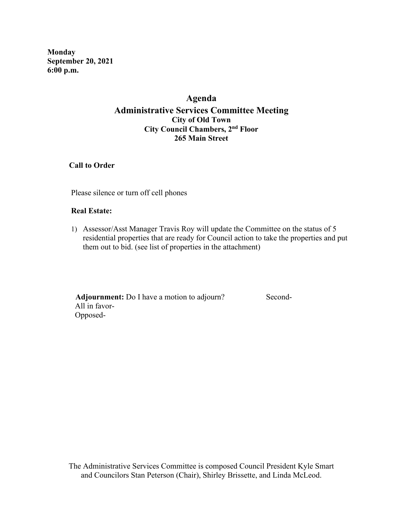**Monday September 20, 2021 6:00 p.m.**

# **Agenda Administrative Services Committee Meeting City of Old Town City Council Chambers, 2nd Floor 265 Main Street**

 **Call to Order**

Please silence or turn off cell phones

### **Real Estate:**

1) Assessor/Asst Manager Travis Roy will update the Committee on the status of 5 residential properties that are ready for Council action to take the properties and put them out to bid. (see list of properties in the attachment)

Adjournment: Do I have a motion to adjourn? Second- All in favor- Opposed-

The Administrative Services Committee is composed Council President Kyle Smart and Councilors Stan Peterson (Chair), Shirley Brissette, and Linda McLeod.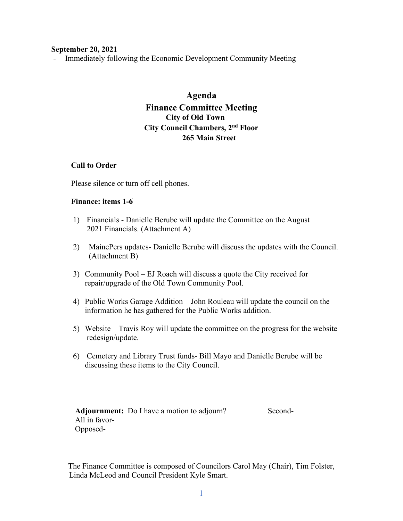#### **September 20, 2021**

- Immediately following the Economic Development Community Meeting

# **Agenda Finance Committee Meeting City of Old Town City Council Chambers, 2nd Floor 265 Main Street**

#### **Call to Order**

Please silence or turn off cell phones.

#### **Finance: items 1-6**

- 1) Financials Danielle Berube will update the Committee on the August 2021 Financials. (Attachment A)
- 2) MainePers updates- Danielle Berube will discuss the updates with the Council. (Attachment B)
- 3) Community Pool EJ Roach will discuss a quote the City received for repair/upgrade of the Old Town Community Pool.
- 4) Public Works Garage Addition John Rouleau will update the council on the information he has gathered for the Public Works addition.
- 5) Website Travis Roy will update the committee on the progress for the website redesign/update.
- 6) Cemetery and Library Trust funds- Bill Mayo and Danielle Berube will be discussing these items to the City Council.

Adjournment: Do I have a motion to adjourn? Second- All in favor- Opposed-

The Finance Committee is composed of Councilors Carol May (Chair), Tim Folster, Linda McLeod and Council President Kyle Smart.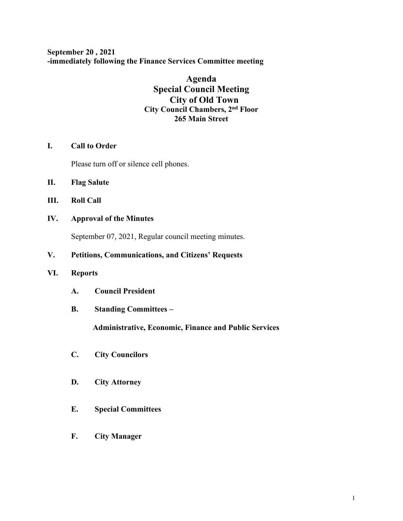**September 20 , 2021 -immediately following the Finance Services Committee meeting**

# **Agenda Special Council Meeting City of Old Town City Council Chambers, 2nd Floor 265 Main Street**

# **I. Call to Order**

Please turn off or silence cell phones.

- **II. Flag Salute**
- **III. Roll Call**

# **IV. Approval of the Minutes**

September 07, 2021, Regular council meeting minutes.

# **V. Petitions, Communications, and Citizens' Requests**

### **VI. Reports**

- **A. Council President**
- **B. Standing Committees –**

 **Administrative, Economic, Finance and Public Services**

- **C. City Councilors**
- **D. City Attorney**
- **E. Special Committees**
- **F. City Manager**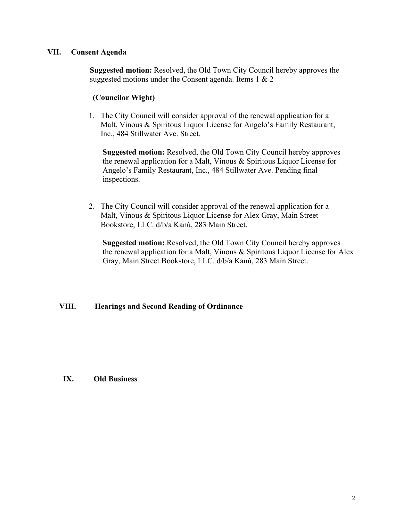## **VII. Consent Agenda**

 **Suggested motion:** Resolved, the Old Town City Council hereby approves the suggested motions under the Consent agenda. Items 1 & 2

## **(Councilor Wight)**

1. The City Council will consider approval of the renewal application for a Malt, Vinous & Spiritous Liquor License for Angelo's Family Restaurant, Inc., 484 Stillwater Ave. Street.

 **Suggested motion:** Resolved, the Old Town City Council hereby approves the renewal application for a Malt, Vinous & Spiritous Liquor License for Angelo's Family Restaurant, Inc., 484 Stillwater Ave. Pending final inspections.

2. The City Council will consider approval of the renewal application for a Malt, Vinous & Spiritous Liquor License for Alex Gray, Main Street Bookstore, LLC. d/b/a Kanú, 283 Main Street.

 **Suggested motion:** Resolved, the Old Town City Council hereby approves the renewal application for a Malt, Vinous & Spiritous Liquor License for Alex Gray, Main Street Bookstore, LLC. d/b/a Kanú, 283 Main Street.

# **VIII. Hearings and Second Reading of Ordinance**

### **IX. Old Business**